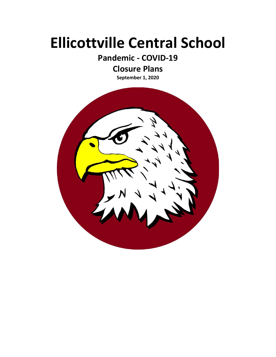# **Ellicottville Central School**

**Pandemic - COVID-19**

# **Closure Plans**

**September 1, 2020**

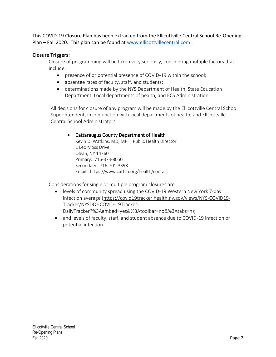This COVID-19 Closure Plan has been extracted from the Ellicottville Central School Re-Opening Plan – Fall 2020. This plan can be found at [www.ellicottvillecentral.com](http://www.ellicottvillecentral.com/) .

## **Closure Triggers:**

Closure of programming will be taken very seriously, considering multiple factors that include:

- presence of or potential presence of COVID-19 within the school;
- absentee rates of faculty, staff, and students;
- determinations made by the NYS Department of Health, State Education Department, Local departments of health, and ECS Administration.

All decisions for closure of any program will be made by the Ellicottville Central School Superintendent, in conjunction with local departments of health, and Ellicottville Central School Administrators.

### Cattaraugus County Department of Health

Kevin D. Watkins, MD, MPH; Public Health Director 1 Leo Moss Drive Olean, NY 14760 Primary: 716-373-8050 Secondary: 716-701-3398 Email: <https://www.cattco.org/health/contact>

Considerations for single or multiple program closures are:

- levels of community spread using the COVID-19 Western New York 7-day infection average [\(https://covid19tracker.health.ny.gov/views/NYS-COVID19-](https://covid19tracker.health.ny.gov/views/NYS-COVID19-Tracker/NYSDOHCOVID-19Tracker-DailyTracker?%3Aembed=yes&%3Atoolbar=no&%3Atabs=n) [Tracker/NYSDOHCOVID-19Tracker-](https://covid19tracker.health.ny.gov/views/NYS-COVID19-Tracker/NYSDOHCOVID-19Tracker-DailyTracker?%3Aembed=yes&%3Atoolbar=no&%3Atabs=n)[DailyTracker?%3Aembed=yes&%3Atoolbar=no&%3Atabs=n\)](https://covid19tracker.health.ny.gov/views/NYS-COVID19-Tracker/NYSDOHCOVID-19Tracker-DailyTracker?%3Aembed=yes&%3Atoolbar=no&%3Atabs=n);
- and levels of faculty, staff, and student absence due to COVID-19 infection or potential infection.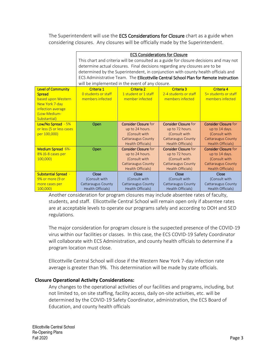The Superintendent will use the **ECS Considerations for Closure** chart as a guide when considering closures. Any closures will be officially made by the Superintendent.

|                             | <b>ECS Considerations for Closure</b>                                                  |                             |                             |                             |
|-----------------------------|----------------------------------------------------------------------------------------|-----------------------------|-----------------------------|-----------------------------|
|                             | This chart and criteria will be consulted as a guide for closure decisions and may not |                             |                             |                             |
|                             | determine actual closures. Final decisions regarding any closures are to be            |                             |                             |                             |
|                             | determined by the Superintendent, in conjunction with county health officials and      |                             |                             |                             |
|                             | ECS Administrative Team. The Ellicottville Central School Plan for Remote Instruction  |                             |                             |                             |
|                             | will be implemented in the event of any closure.                                       |                             |                             |                             |
| <b>Level of Community</b>   | <b>Criteria 4</b><br>Criteria 1<br>Criteria 2<br><b>Criteria 3</b>                     |                             |                             |                             |
| <b>Spread</b>               | 0 students or staff                                                                    | 1 student or 1 staff        | 2-4 students or staff       | 5+ students or staff        |
| based upon Western          | members infected                                                                       | member infected             | members infected            | members infected            |
| New York 7-day              |                                                                                        |                             |                             |                             |
| infection average           |                                                                                        |                             |                             |                             |
| (Low-Medium-                |                                                                                        |                             |                             |                             |
| Substantial)                |                                                                                        |                             |                             |                             |
| Low/No Spread - 5%          | Open                                                                                   | <b>Consider Closure for</b> | <b>Consider Closure for</b> | <b>Consider Closure for</b> |
| or less (5 or less cases    |                                                                                        | up to 24 hours.             | up to 72 hours.             | up to 14 days.              |
| per 100,000)                |                                                                                        | (Consult with               | (Consult with               | (Consult with               |
|                             |                                                                                        | <b>Cattaraugus County</b>   | <b>Cattaraugus County</b>   | <b>Cattaraugus County</b>   |
|                             |                                                                                        | Health Officials)           | <b>Health Officials)</b>    | Health Officials)           |
| Medium Spread 6%-           | Open                                                                                   | <b>Consider Closure for</b> | <b>Consider Closure for</b> | <b>Consider Closure for</b> |
| 8% (6-8 cases per           |                                                                                        | up to 24 hours.             | up to 72 hours.             | up to 14 days.              |
| 100,000                     |                                                                                        | (Consult with               | (Consult with               | (Consult with               |
|                             |                                                                                        |                             |                             |                             |
|                             |                                                                                        | <b>Cattaraugus County</b>   | <b>Cattaraugus County</b>   | <b>Cattaraugus County</b>   |
|                             |                                                                                        | Health Officials)           | <b>Health Officials)</b>    | <b>Health Officials)</b>    |
| <b>Substantial Spread -</b> | Close                                                                                  | Close                       | Close                       | Close                       |
| 9% or more (9 or            | (Consult with                                                                          | (Consult with               | (Consult with               | (Consult with               |
| more cases per              | <b>Cattaraugus County</b>                                                              | <b>Cattaraugus County</b>   | <b>Cattaraugus County</b>   | Cattaraugus County          |

Another consideration for program closures may include absentee rates of faculty, students, and staff. Ellicottville Central School will remain open only if absentee rates are at acceptable levels to operate our programs safely and according to DOH and SED regulations.

The major consideration for program closure is the suspected presence of the COVID-19 virus within our facilities or classes. In this case, the ECS COVID-19 Safety Coordinator will collaborate with ECS Administration, and county health officials to determine if a program location must close.

Ellicottville Central School will close if the Western New York 7-day infection rate average is greater than 9%. This determination will be made by state officials.

#### **Closure Operational Activity Considerations:**

Any changes to the operational activities of our facilities and programs, including, but not limited to, on site staffing, facility access, daily on-site activities, etc. will be determined by the COVID-19 Safety Coordinator, administration, the ECS Board of Education, and county health officials